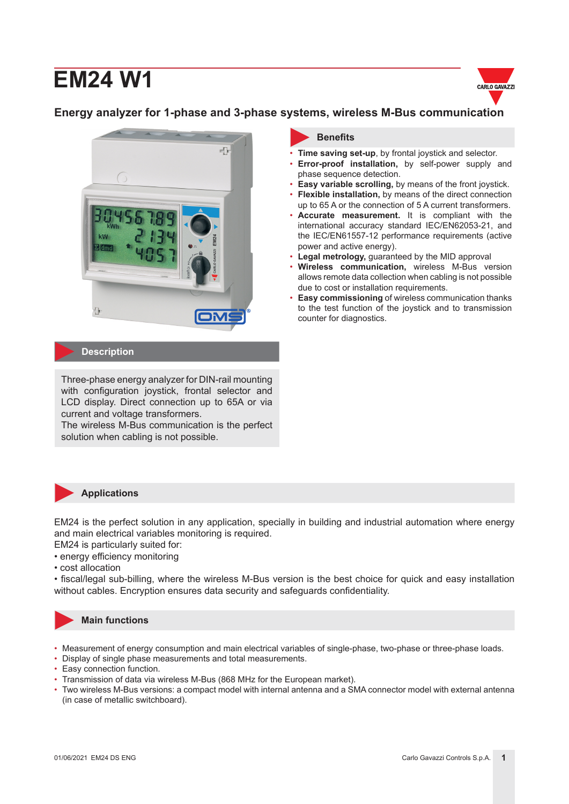# **EM24 EM24 W1**



#### **Energy analyzer for 1-phase and 3-phase systems, wireless M-Bus communication**



#### **Description**

Three-phase energy analyzer for DIN-rail mounting with configuration joystick, frontal selector and LCD display. Direct connection up to 65A or via current and voltage transformers.

The wireless M-Bus communication is the perfect solution when cabling is not possible.

### **Benefits**

- **Time saving set-up**, by frontal joystick and selector.
- **Error-proof installation,** by self-power supply and phase sequence detection.
- **Easy variable scrolling,** by means of the front joystick.
- **Flexible installation,** by means of the direct connection up to 65 A or the connection of 5 A current transformers.
- **Accurate measurement.** It is compliant with the international accuracy standard IEC/EN62053-21, and the IEC/EN61557-12 performance requirements (active power and active energy).
- **Legal metrology, guaranteed by the MID approval**
- **Wireless communication,** wireless M-Bus version allows remote data collection when cabling is not possible due to cost or installation requirements.
- **Easy commissioning** of wireless communication thanks to the test function of the joystick and to transmission counter for diagnostics.

#### **Applications**

EM24 is the perfect solution in any application, specially in building and industrial automation where energy and main electrical variables monitoring is required.

EM24 is particularly suited for:

- energy efficiency monitoring
- cost allocation

• fiscal/legal sub-billing, where the wireless M-Bus version is the best choice for quick and easy installation without cables. Encryption ensures data security and safeguards confidentiality.



#### **Main functions**

- Measurement of energy consumption and main electrical variables of single-phase, two-phase or three-phase loads.
- Display of single phase measurements and total measurements.
- Easy connection function.
- Transmission of data via wireless M-Bus (868 MHz for the European market).
- Two wireless M-Bus versions: a compact model with internal antenna and a SMA connector model with external antenna (in case of metallic switchboard).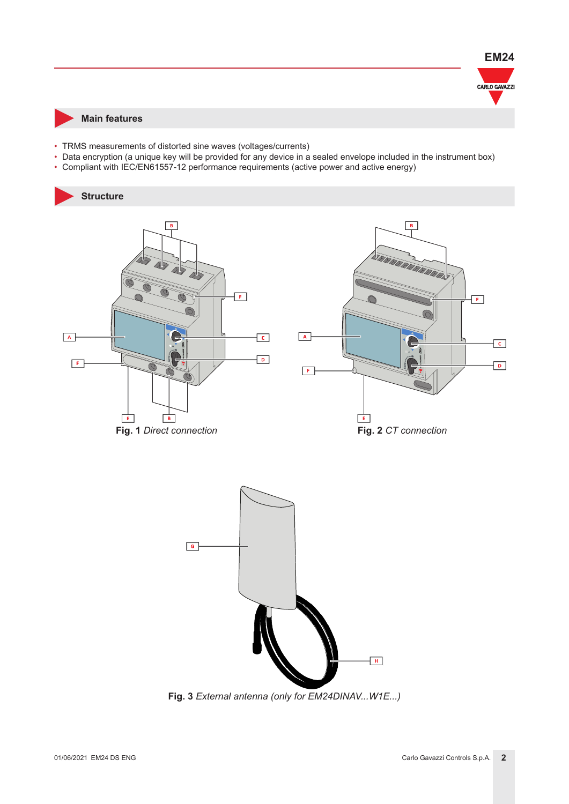

#### **Main features**

- TRMS measurements of distorted sine waves (voltages/currents)
- Data encryption (a unique key will be provided for any device in a sealed envelope included in the instrument box)
- Compliant with IEC/EN61557-12 performance requirements (active power and active energy)



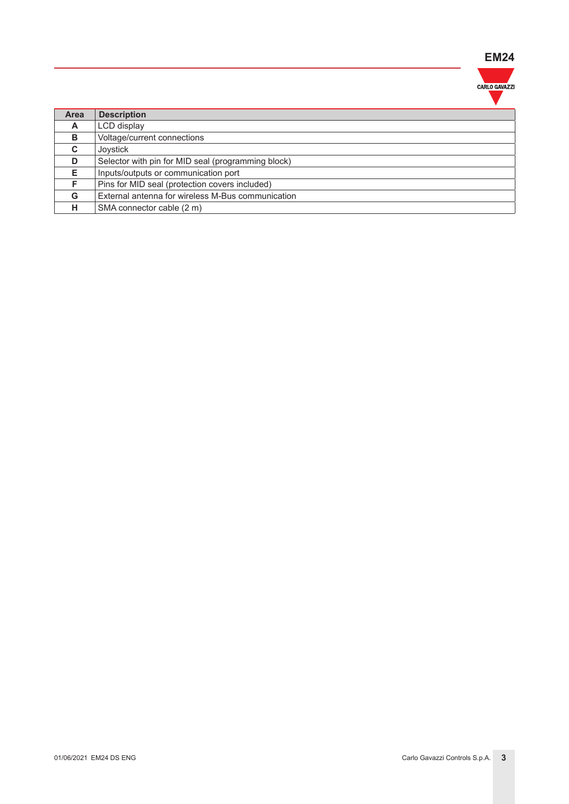## **EM24**

CARLO GAVAZZI

| Area | <b>Description</b>                                 |
|------|----------------------------------------------------|
| A    | LCD display                                        |
| B    | Voltage/current connections                        |
| C    | Joystick                                           |
| D    | Selector with pin for MID seal (programming block) |
| Е    | Inputs/outputs or communication port               |
| F    | Pins for MID seal (protection covers included)     |
| G    | External antenna for wireless M-Bus communication  |
| н    | SMA connector cable (2 m)                          |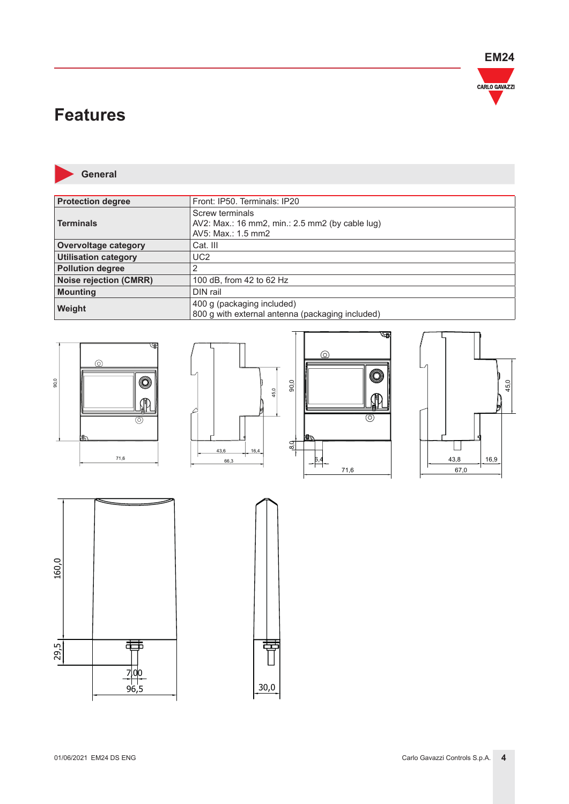

## **Features**



**General**

| <b>Protection degree</b>      | Front: IP50. Terminals: IP20                                                             |
|-------------------------------|------------------------------------------------------------------------------------------|
| <b>Terminals</b>              | Screw terminals<br>AV2: Max.: 16 mm2, min.: 2.5 mm2 (by cable lug)<br>AV5: Max.: 1.5 mm2 |
| <b>Overvoltage category</b>   | Cat. III                                                                                 |
| <b>Utilisation category</b>   | UC2                                                                                      |
| <b>Pollution degree</b>       |                                                                                          |
| <b>Noise rejection (CMRR)</b> | 100 dB, from 42 to 62 Hz                                                                 |
| <b>Mounting</b>               | DIN rail                                                                                 |
| Weight                        | 400 g (packaging included)<br>800 g with external antenna (packaging included)           |











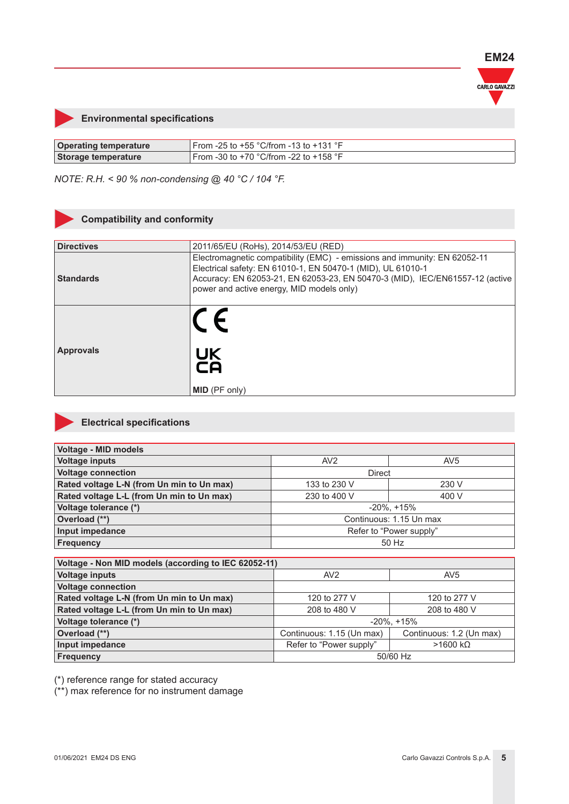

#### **Environmental specifications**

| Operating temperature | l From -25 to +55 °C/from -13 to +131 °F. |
|-----------------------|-------------------------------------------|
| Storage temperature   | l From -30 to +70 °C/from -22 to +158 °F  |

#### *NOTE: R.H. < 90 % non-condensing @ 40 °C / 104 °F.*

#### **Compatibility and conformity**

| <b>Directives</b>                                                                                                                                                                                                                                                                         | 2011/65/EU (RoHs), 2014/53/EU (RED) |  |  |  |
|-------------------------------------------------------------------------------------------------------------------------------------------------------------------------------------------------------------------------------------------------------------------------------------------|-------------------------------------|--|--|--|
| Electromagnetic compatibility (EMC) - emissions and immunity: EN 62052-11<br>Electrical safety: EN 61010-1, EN 50470-1 (MID), UL 61010-1<br>Accuracy: EN 62053-21, EN 62053-23, EN 50470-3 (MID), IEC/EN61557-12 (active<br><b>Standards</b><br>power and active energy, MID models only) |                                     |  |  |  |
|                                                                                                                                                                                                                                                                                           |                                     |  |  |  |
| <b>Approvals</b>                                                                                                                                                                                                                                                                          | UK<br>CA                            |  |  |  |
|                                                                                                                                                                                                                                                                                           | <b>MID</b> (PF only)                |  |  |  |

#### **Electrical specifications**

| Voltage - MID models                      |                         |                 |  |  |
|-------------------------------------------|-------------------------|-----------------|--|--|
| <b>Voltage inputs</b>                     | AV2                     | AV <sub>5</sub> |  |  |
| <b>Voltage connection</b>                 | <b>Direct</b>           |                 |  |  |
| Rated voltage L-N (from Un min to Un max) | 133 to 230 V            | 230 V           |  |  |
| Rated voltage L-L (from Un min to Un max) | 230 to 400 V            | 400 V           |  |  |
| Voltage tolerance (*)                     | $-20\%$ , $+15\%$       |                 |  |  |
| Overload (**)                             | Continuous: 1.15 Un max |                 |  |  |
| Input impedance                           | Refer to "Power supply" |                 |  |  |
| Frequency                                 | 50 Hz                   |                 |  |  |

| Voltage - Non MID models (according to IEC 62052-11) |                           |                          |  |  |
|------------------------------------------------------|---------------------------|--------------------------|--|--|
| <b>Voltage inputs</b>                                | AV2                       | AV <sub>5</sub>          |  |  |
| <b>Voltage connection</b>                            |                           |                          |  |  |
| Rated voltage L-N (from Un min to Un max)            | 120 to 277 V              | 120 to 277 V             |  |  |
| Rated voltage L-L (from Un min to Un max)            | 208 to 480 V              | 208 to 480 V             |  |  |
| Voltage tolerance (*)                                | $-20\%$ , $+15\%$         |                          |  |  |
| Overload (**)                                        | Continuous: 1.15 (Un max) | Continuous: 1.2 (Un max) |  |  |
| Input impedance                                      | Refer to "Power supply"   | $>1600$ kΩ               |  |  |
| <b>Frequency</b>                                     | 50/60 Hz                  |                          |  |  |

(\*) reference range for stated accuracy

(\*\*) max reference for no instrument damage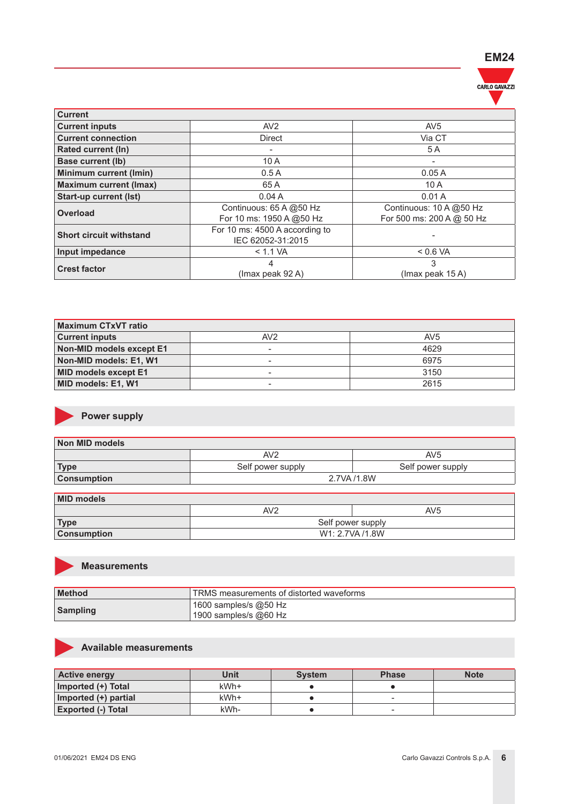

٦

| <b>Current</b>                 |                                                        |                                                      |  |  |
|--------------------------------|--------------------------------------------------------|------------------------------------------------------|--|--|
| <b>Current inputs</b>          | AV2                                                    | AV <sub>5</sub>                                      |  |  |
| <b>Current connection</b>      | <b>Direct</b>                                          | Via CT                                               |  |  |
| <b>Rated current (In)</b>      |                                                        | 5 A                                                  |  |  |
| Base current (lb)              | 10A                                                    |                                                      |  |  |
| <b>Minimum current (Imin)</b>  | 0.5A                                                   | 0.05A                                                |  |  |
| <b>Maximum current (Imax)</b>  | 65 A                                                   | 10A                                                  |  |  |
| <b>Start-up current (Ist)</b>  | 0.04A                                                  | 0.01A                                                |  |  |
| Overload                       | Continuous: $65A$ $@50$ Hz<br>For 10 ms: 1950 A @50 Hz | Continuous: 10 A @50 Hz<br>For 500 ms: 200 A @ 50 Hz |  |  |
| <b>Short circuit withstand</b> | For 10 ms: 4500 A according to<br>IEC 62052-31:2015    |                                                      |  |  |
| Input impedance                | < 1.1 VA                                               | < 0.6 VA                                             |  |  |
| <b>Crest factor</b>            | 4                                                      | 3                                                    |  |  |
|                                | (Imax peak 92 A)                                       | (Imax peak 15 A)                                     |  |  |

| <b>Maximum CTxVT ratio</b> |                          |                 |  |  |
|----------------------------|--------------------------|-----------------|--|--|
| <b>Current inputs</b>      | AV <sub>2</sub>          | AV <sub>5</sub> |  |  |
| Non-MID models except E1   | $\overline{\phantom{a}}$ | 4629            |  |  |
| Non-MID models: E1, W1     |                          | 6975            |  |  |
| MID models except E1       |                          | 3150            |  |  |
| MID models: E1, W1         |                          | 2615            |  |  |

## **Power supply**

| Non MID models     |                   |                   |  |  |  |
|--------------------|-------------------|-------------------|--|--|--|
|                    | AV2               | AV5               |  |  |  |
| <b>Type</b>        | Self power supply | Self power supply |  |  |  |
| <b>Consumption</b> | 2.7VA /1.8W       |                   |  |  |  |

#### **MID models**

| טוסטאוו שוויו      |                   |                 |  |  |
|--------------------|-------------------|-----------------|--|--|
|                    | AV2               | AV <sub>5</sub> |  |  |
| Type               | Self power supply |                 |  |  |
| <b>Consumption</b> | W1: 2.7VA /1.8W   |                 |  |  |



#### **Measurements**

| <b>Method</b>   | TRMS measurements of distorted waveforms           |  |  |
|-----------------|----------------------------------------------------|--|--|
| <b>Sampling</b> | 1600 samples/s $@50$ Hz<br>1900 samples/s $@60$ Hz |  |  |

### **Available measurements**

| <b>Active energy</b>      | Unit | <b>System</b> | <b>Phase</b> | <b>Note</b> |
|---------------------------|------|---------------|--------------|-------------|
| Imported (+) Total        | kWh+ |               |              |             |
| Imported (+) partial      | kWh+ |               |              |             |
| <b>Exported (-) Total</b> | kWh- |               |              |             |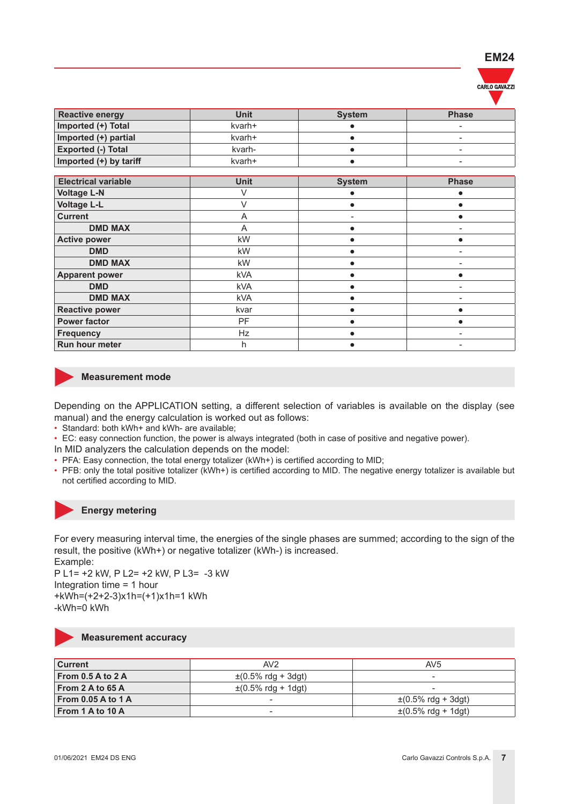

| <b>Reactive energy</b>    | <b>Unit</b> | <b>System</b> | <b>Phase</b>             |
|---------------------------|-------------|---------------|--------------------------|
| Imported (+) Total        | kvarh+      |               |                          |
| Imported (+) partial      | kvarh+      |               | $\overline{\phantom{a}}$ |
| <b>Exported (-) Total</b> | kvarh-      |               |                          |
| Imported (+) by tariff    | kvarh+      |               |                          |

| <b>Electrical variable</b> | <b>Unit</b> | <b>System</b> | <b>Phase</b> |
|----------------------------|-------------|---------------|--------------|
| <b>Voltage L-N</b>         |             |               |              |
| <b>Voltage L-L</b>         |             |               |              |
| <b>Current</b>             | A           |               |              |
| <b>DMD MAX</b>             | A           |               |              |
| <b>Active power</b>        | kW          |               |              |
| <b>DMD</b>                 | kW          |               |              |
| <b>DMD MAX</b>             | kW          |               |              |
| <b>Apparent power</b>      | <b>kVA</b>  |               |              |
| <b>DMD</b>                 | <b>kVA</b>  |               |              |
| <b>DMD MAX</b>             | <b>kVA</b>  |               |              |
| <b>Reactive power</b>      | kvar        |               |              |
| <b>Power factor</b>        | PF          |               |              |
| <b>Frequency</b>           | <b>Hz</b>   |               |              |
| Run hour meter             | h           |               |              |



#### **Measurement mode**

Depending on the APPLICATION setting, a different selection of variables is available on the display (see manual) and the energy calculation is worked out as follows:

- Standard: both kWh+ and kWh- are available;
- EC: easy connection function, the power is always integrated (both in case of positive and negative power).
- In MID analyzers the calculation depends on the model:
- PFA: Easy connection, the total energy totalizer (kWh+) is certified according to MID;
- PFB: only the total positive totalizer (kWh+) is certified according to MID. The negative energy totalizer is available but not certified according to MID.



For every measuring interval time, the energies of the single phases are summed; according to the sign of the result, the positive (kWh+) or negative totalizer (kWh-) is increased.

Example: P L1= +2 kW, P L2= +2 kW, P L3= -3 kW Integration time = 1 hour +kWh=(+2+2-3)x1h=(+1)x1h=1 kWh -kWh=0 kWh

#### **Measurement accuracy**

| <b>Current</b>              | AV2                                      | AV <sub>5</sub>                          |
|-----------------------------|------------------------------------------|------------------------------------------|
| From 0.5 A to $2 \text{ A}$ | $\pm (0.5\% \text{ rdg} + 3 \text{dg}t)$ | $\sim$                                   |
| From $2$ A to 65 A          | $\pm (0.5\% \text{ rdg} + 1 \text{dg}t)$ | -                                        |
| From 0.05 A to 1 A          | $\overline{\phantom{a}}$                 | $\pm (0.5\% \text{ rdg} + 3 \text{dg}t)$ |
| From 1 A to 10 A            | $\overline{\phantom{a}}$                 | $\pm (0.5\% \text{ rdg} + 1 \text{dg}t)$ |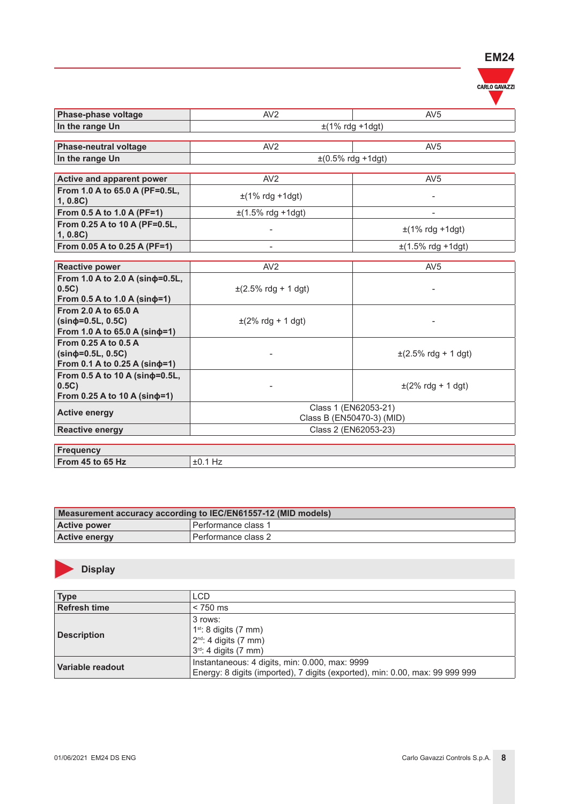

| Phase-phase voltage                       | AV2                       | AV5                                     |  |
|-------------------------------------------|---------------------------|-----------------------------------------|--|
| In the range Un                           | $\pm$ (1% rdg +1dgt)      |                                         |  |
|                                           |                           |                                         |  |
| <b>Phase-neutral voltage</b>              | AV2                       | AV5                                     |  |
| In the range Un                           |                           | $±(0.5%$ rdg +1dgt)                     |  |
|                                           |                           |                                         |  |
| Active and apparent power                 | AV2                       | AV <sub>5</sub>                         |  |
| From 1.0 A to 65.0 A (PF=0.5L,<br>1, 0.8C | $\pm$ (1% rdg +1dgt)      |                                         |  |
| From 0.5 A to 1.0 A (PF=1)                | $\pm$ (1.5% rdg +1dgt)    | $\qquad \qquad \blacksquare$            |  |
| From 0.25 A to 10 A (PF=0.5L,<br>1, 0.8C  |                           | $\pm$ (1% rdg +1dgt)                    |  |
| From 0.05 A to 0.25 A (PF=1)              |                           | $\pm(1.5\% \text{ rdg} + 1 \text{dg}t)$ |  |
|                                           |                           |                                         |  |
| <b>Reactive power</b>                     | AV2                       | AV5                                     |  |
| From 1.0 A to 2.0 A (sinφ=0.5L,           |                           |                                         |  |
| 0.5C)                                     | $\pm$ (2.5% rdg + 1 dgt)  |                                         |  |
| From 0.5 A to 1.0 A (sin $\phi$ =1)       |                           |                                         |  |
| From 2.0 A to 65.0 A                      |                           |                                         |  |
| $(sin\phi = 0.5L, 0.5C)$                  | $\pm$ (2% rdg + 1 dgt)    |                                         |  |
| From 1.0 A to 65.0 A (sin $\phi$ =1)      |                           |                                         |  |
| From 0.25 A to 0.5 A                      |                           |                                         |  |
| $(sin\phi = 0.5L, 0.5C)$                  |                           | $\pm$ (2.5% rdg + 1 dgt)                |  |
| From 0.1 A to 0.25 A (sin $\phi$ =1)      |                           |                                         |  |
| From 0.5 A to 10 A (sin $\phi$ =0.5L,     |                           |                                         |  |
| 0.5C)                                     |                           | $\pm$ (2% rdg + 1 dgt)                  |  |
| From 0.25 A to 10 A (sinφ=1)              |                           |                                         |  |
| <b>Active energy</b>                      | Class 1 (EN62053-21)      |                                         |  |
|                                           | Class B (EN50470-3) (MID) |                                         |  |
| <b>Reactive energy</b>                    | Class 2 (EN62053-23)      |                                         |  |
|                                           |                           |                                         |  |
| <b>Frequency</b>                          |                           |                                         |  |
| From 45 to 65 Hz                          | $±0.1$ Hz                 |                                         |  |

| Measurement accuracy according to IEC/EN61557-12 (MID models) |                       |  |
|---------------------------------------------------------------|-----------------------|--|
| <b>Active power</b>                                           | i Performance class 1 |  |
| <b>Active energy</b>                                          | l Performance class 2 |  |



### **Display**

| <b>Type</b>         | LCD                                                                                                                            |
|---------------------|--------------------------------------------------------------------------------------------------------------------------------|
| <b>Refresh time</b> | $< 750 \text{ ms}$                                                                                                             |
| <b>Description</b>  | 3 rows:<br>$1st$ : 8 digits (7 mm)<br>$2^{nd}$ : 4 digits (7 mm)<br>$3rd$ : 4 digits (7 mm)                                    |
| Variable readout    | Instantaneous: 4 digits, min: 0.000, max: 9999<br>Energy: 8 digits (imported), 7 digits (exported), min: 0.00, max: 99 999 999 |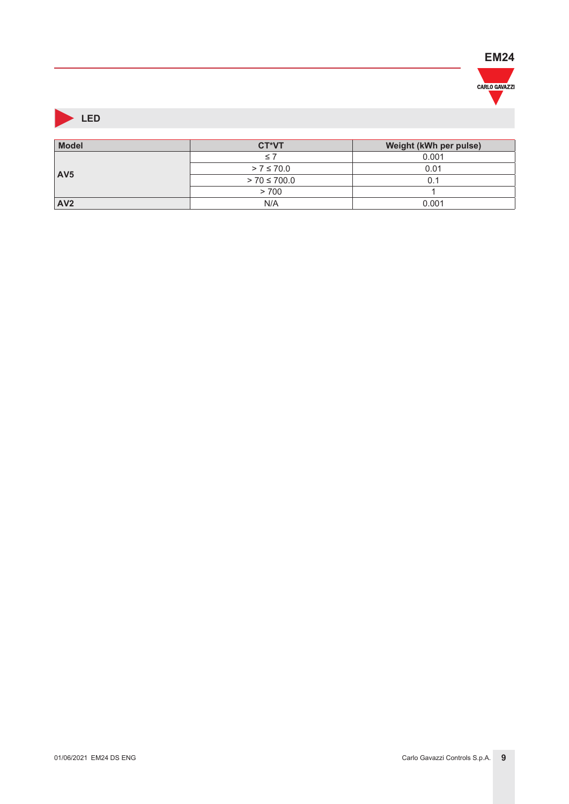

### **LED**

| <b>Model</b>    | CT*VT            | Weight (kWh per pulse) |
|-----------------|------------------|------------------------|
|                 |                  | 0.001                  |
| AV <sub>5</sub> | $> 7 \le 70.0$   | 0.01                   |
|                 | $> 70 \le 700.0$ |                        |
|                 | > 700            |                        |
| AV <sub>2</sub> | N/A              | 0.001                  |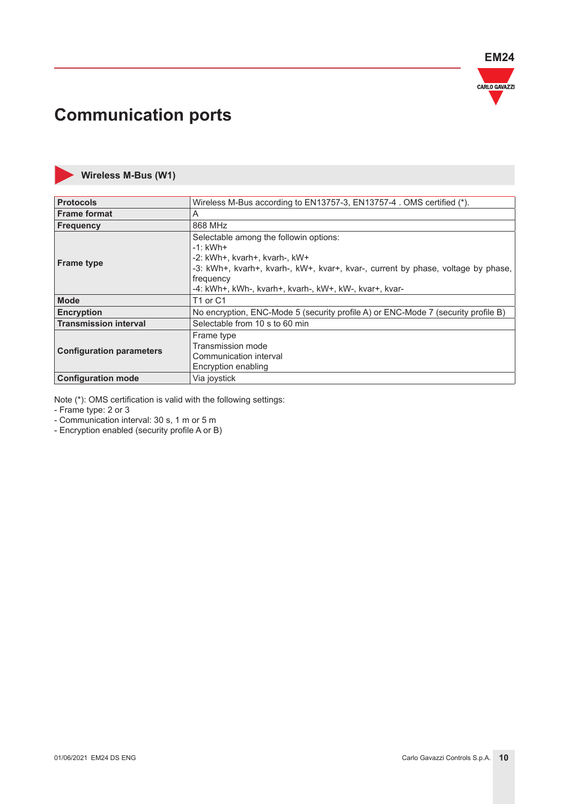

## **Communication ports**

**Wireless M-Bus (W1)**

| <b>Protocols</b>                | Wireless M-Bus according to EN13757-3, EN13757-4. OMS certified (*).              |
|---------------------------------|-----------------------------------------------------------------------------------|
| <b>Frame format</b>             | A                                                                                 |
| <b>Frequency</b>                | 868 MHz                                                                           |
|                                 | Selectable among the followin options:                                            |
|                                 | $-1$ : kWh+                                                                       |
|                                 | -2: kWh+, kvarh+, kvarh-, kW+                                                     |
| <b>Frame type</b>               | -3: kWh+, kvarh+, kvarh-, kW+, kvar+, kvar-, current by phase, voltage by phase,  |
|                                 | frequency                                                                         |
|                                 | -4: kWh+, kWh-, kvarh+, kvarh-, kW+, kW-, kvar+, kvar-                            |
| <b>Mode</b>                     | T <sub>1</sub> or C <sub>1</sub>                                                  |
| <b>Encryption</b>               | No encryption, ENC-Mode 5 (security profile A) or ENC-Mode 7 (security profile B) |
| <b>Transmission interval</b>    | Selectable from 10 s to 60 min                                                    |
|                                 | Frame type                                                                        |
|                                 | Transmission mode                                                                 |
| <b>Configuration parameters</b> | Communication interval                                                            |
|                                 | Encryption enabling                                                               |
| <b>Configuration mode</b>       | Via joystick                                                                      |

Note (\*): OMS certification is valid with the following settings:

- Frame type: 2 or 3

- Communication interval: 30 s, 1 m or 5 m

- Encryption enabled (security profile A or B)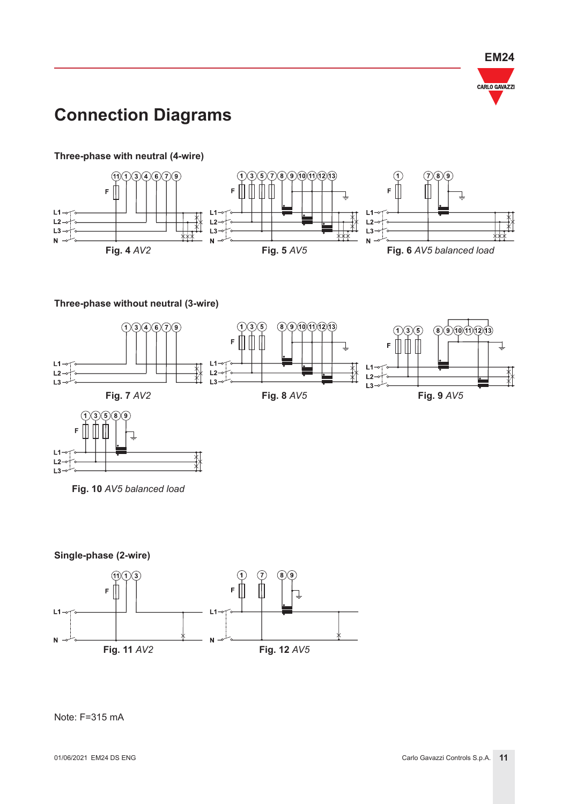

## **Connection Diagrams**



**Three-phase without neutral (3-wire)**



**Fig. 10** *AV5 balanced load*

 $L2$  $L3 -$ 



Note: F=315 mA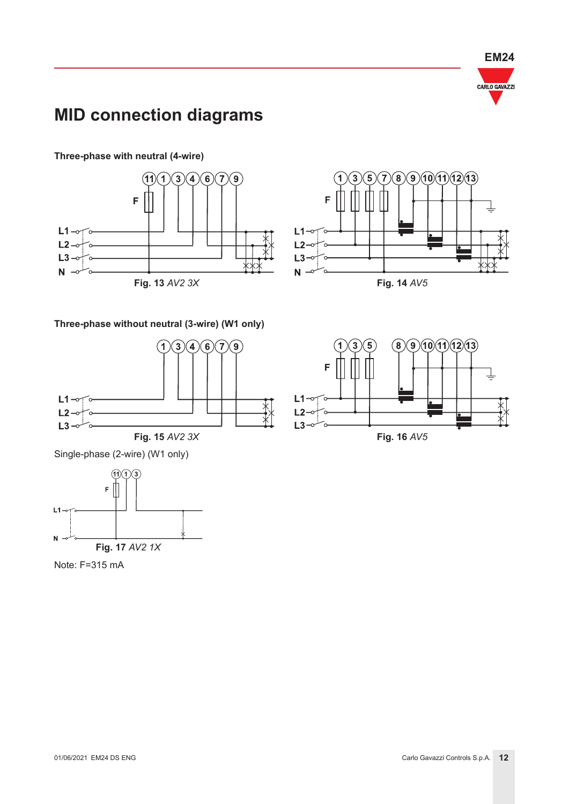

## **MID connection diagrams**





**Three-phase without neutral (3-wire) (W1 only)**



Single-phase (2-wire) (W1 only)



Note: F=315 mA

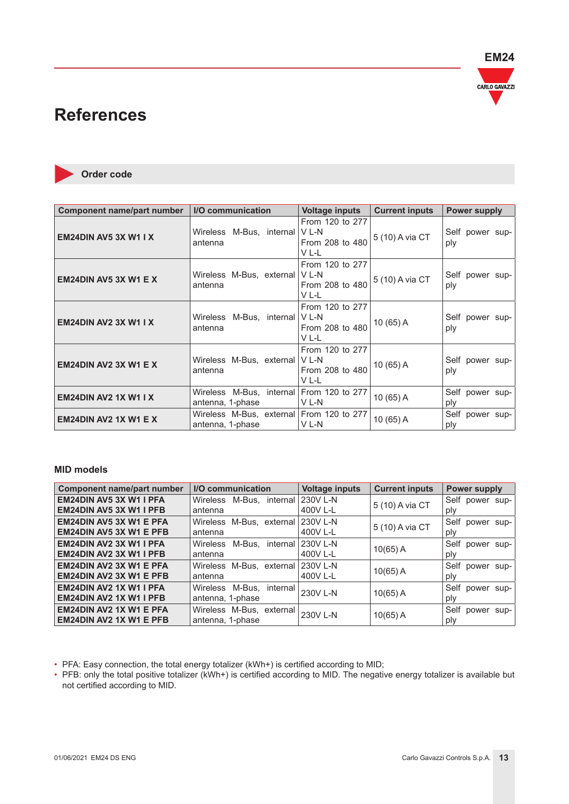## **References**





| Component name/part number   | I/O communication                                            | <b>Voltage inputs</b>                                | <b>Current inputs</b> | <b>Power supply</b>    |
|------------------------------|--------------------------------------------------------------|------------------------------------------------------|-----------------------|------------------------|
| EM24DIN AV5 3X W1 I X        | Wireless M-Bus, internal<br>antenna                          | From 120 to 277<br>V L-N<br>From 208 to 480<br>V L-L | 5 (10) A via CT       | Self power sup-<br>ply |
| EM24DIN AV5 3X W1 E $X$      | Wireless M-Bus, external<br>antenna                          | From 120 to 277<br>V L-N<br>From 208 to 480<br>V L-L | 5 (10) A via CT       | Self power sup-<br>ply |
| <b>EM24DIN AV2 3X W1 I X</b> | Wireless M-Bus, internal<br>antenna                          | From 120 to 277<br>VL-N<br>From 208 to 480<br>V L-L  | 10 $(65)$ A           | Self power sup-<br>ply |
| EM24DIN AV2 3X W1 EX         | Wireless M-Bus, external<br>antenna                          | From 120 to 277<br>VL-N<br>From 208 to 480<br>V L-L  | $10(65)$ A            | Self power sup-<br>ply |
| <b>EM24DIN AV2 1X W1 I X</b> | Wireless M-Bus, internal From 120 to 277<br>antenna, 1-phase | V L-N                                                | 10 (65) A             | Self power sup-<br>ply |
| EM24DIN AV2 1X W1 E $X$      | Wireless M-Bus, external From 120 to 277<br>antenna, 1-phase | VL-N                                                 | 10 (65) A             | Self power sup-<br>ply |

#### **MID models**

| <b>Component name/part number</b> | I/O communication                     | <b>Voltage inputs</b> | <b>Current inputs</b> | <b>Power supply</b>   |
|-----------------------------------|---------------------------------------|-----------------------|-----------------------|-----------------------|
| <b>EM24DIN AV5 3X W1 I PFA</b>    | Wireless M-Bus, internal              | 230V L-N              |                       | Self power sup-       |
| <b>EM24DIN AV5 3X W1 I PFB</b>    | antenna                               | 400V L-L              | 5 (10) A via CT       | ply                   |
| <b>EM24DIN AV5 3X W1 E PFA</b>    | M-Bus. external<br><b>Wireless</b>    | 230V L-N              | 5 (10) A via CT       | Self<br>power sup-    |
| <b>EM24DIN AV5 3X W1 E PFB</b>    | antenna                               | 400V L-L              |                       | ply                   |
| <b>EM24DIN AV2 3X W1 I PFA</b>    | M-Bus.<br><b>Wireless</b><br>internal | 230V L-N              |                       | Self<br>power<br>sup- |
| <b>EM24DIN AV2 3X W1 I PFB</b>    | antenna                               | 400V L-L              | $10(65)$ A            | ply                   |
| <b>EM24DIN AV2 3X W1 E PFA</b>    | Wireless M-Bus, external              | 230V L-N              |                       | Self<br>power sup-    |
| <b>EM24DIN AV2 3X W1 E PFB</b>    | antenna                               | 400V L-L              | $10(65)$ A            | ply                   |
| <b>EM24DIN AV2 1X W1 I PFA</b>    | Wireless M-Bus.<br>internal           | 230V L-N              | $10(65)$ A            | Self<br>power sup-    |
| <b>EM24DIN AV2 1X W1 I PFB</b>    | antenna, 1-phase                      |                       |                       | ply                   |
| <b>EM24DIN AV2 1X W1 E PFA</b>    | Wireless M-Bus, external              | 230V L-N              |                       | Self<br>power<br>sup- |
| <b>EM24DIN AV2 1X W1 E PFB</b>    | antenna, 1-phase                      |                       | $10(65)$ A            | ply                   |

• PFA: Easy connection, the total energy totalizer (kWh+) is certified according to MID;

• PFB: only the total positive totalizer (kWh+) is certified according to MID. The negative energy totalizer is available but not certified according to MID.